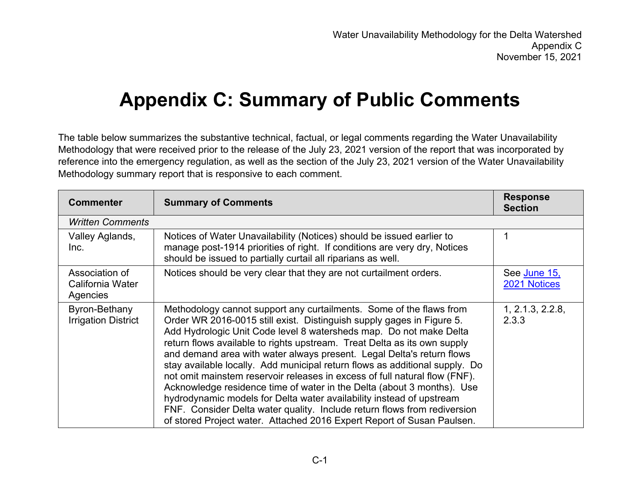## **Appendix C: Summary of Public Comments**

The table below summarizes the substantive technical, factual, or legal comments regarding the Water Unavailability Methodology that were received prior to the release of the July 23, 2021 version of the report that was incorporated by reference into the emergency regulation, as well as the section of the July 23, 2021 version of the Water Unavailability Methodology summary report that is responsive to each comment.

| <b>Commenter</b>                               | <b>Summary of Comments</b>                                                                                                                                                                                                                                                                                                                                                                                                                                                                                                                                                                                                                                                                                                                                                                                                                   | <b>Response</b><br><b>Section</b> |
|------------------------------------------------|----------------------------------------------------------------------------------------------------------------------------------------------------------------------------------------------------------------------------------------------------------------------------------------------------------------------------------------------------------------------------------------------------------------------------------------------------------------------------------------------------------------------------------------------------------------------------------------------------------------------------------------------------------------------------------------------------------------------------------------------------------------------------------------------------------------------------------------------|-----------------------------------|
| <b>Written Comments</b>                        |                                                                                                                                                                                                                                                                                                                                                                                                                                                                                                                                                                                                                                                                                                                                                                                                                                              |                                   |
| Valley Aglands,<br>Inc.                        | Notices of Water Unavailability (Notices) should be issued earlier to<br>manage post-1914 priorities of right. If conditions are very dry, Notices<br>should be issued to partially curtail all riparians as well.                                                                                                                                                                                                                                                                                                                                                                                                                                                                                                                                                                                                                           | 1                                 |
| Association of<br>California Water<br>Agencies | Notices should be very clear that they are not curtailment orders.                                                                                                                                                                                                                                                                                                                                                                                                                                                                                                                                                                                                                                                                                                                                                                           | See June 15,<br>2021 Notices      |
| Byron-Bethany<br><b>Irrigation District</b>    | Methodology cannot support any curtailments. Some of the flaws from<br>Order WR 2016-0015 still exist. Distinguish supply gages in Figure 5.<br>Add Hydrologic Unit Code level 8 watersheds map. Do not make Delta<br>return flows available to rights upstream. Treat Delta as its own supply<br>and demand area with water always present. Legal Delta's return flows<br>stay available locally. Add municipal return flows as additional supply. Do<br>not omit mainstem reservoir releases in excess of full natural flow (FNF).<br>Acknowledge residence time of water in the Delta (about 3 months). Use<br>hydrodynamic models for Delta water availability instead of upstream<br>FNF. Consider Delta water quality. Include return flows from rediversion<br>of stored Project water. Attached 2016 Expert Report of Susan Paulsen. | 1, 2.1.3, 2.2.8,<br>2.3.3         |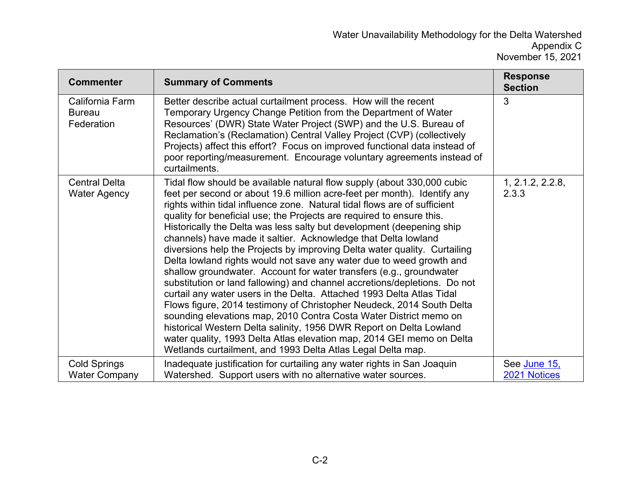| <b>Commenter</b>                               | <b>Summary of Comments</b>                                                                                                                                                                                                                                                                                                                                                                                                                                                                                                                                                                                                                                                                                                                                                                                                                                                                                                                                                                                                                                                                                                                                                                          | <b>Response</b><br><b>Section</b> |
|------------------------------------------------|-----------------------------------------------------------------------------------------------------------------------------------------------------------------------------------------------------------------------------------------------------------------------------------------------------------------------------------------------------------------------------------------------------------------------------------------------------------------------------------------------------------------------------------------------------------------------------------------------------------------------------------------------------------------------------------------------------------------------------------------------------------------------------------------------------------------------------------------------------------------------------------------------------------------------------------------------------------------------------------------------------------------------------------------------------------------------------------------------------------------------------------------------------------------------------------------------------|-----------------------------------|
| California Farm<br><b>Bureau</b><br>Federation | Better describe actual curtailment process. How will the recent<br>Temporary Urgency Change Petition from the Department of Water<br>Resources' (DWR) State Water Project (SWP) and the U.S. Bureau of<br>Reclamation's (Reclamation) Central Valley Project (CVP) (collectively<br>Projects) affect this effort? Focus on improved functional data instead of<br>poor reporting/measurement. Encourage voluntary agreements instead of<br>curtailments.                                                                                                                                                                                                                                                                                                                                                                                                                                                                                                                                                                                                                                                                                                                                            | 3                                 |
| <b>Central Delta</b><br><b>Water Agency</b>    | Tidal flow should be available natural flow supply (about 330,000 cubic<br>feet per second or about 19.6 million acre-feet per month). Identify any<br>rights within tidal influence zone. Natural tidal flows are of sufficient<br>quality for beneficial use; the Projects are required to ensure this.<br>Historically the Delta was less salty but development (deepening ship<br>channels) have made it saltier. Acknowledge that Delta lowland<br>diversions help the Projects by improving Delta water quality. Curtailing<br>Delta lowland rights would not save any water due to weed growth and<br>shallow groundwater. Account for water transfers (e.g., groundwater<br>substitution or land fallowing) and channel accretions/depletions. Do not<br>curtail any water users in the Delta. Attached 1993 Delta Atlas Tidal<br>Flows figure, 2014 testimony of Christopher Neudeck, 2014 South Delta<br>sounding elevations map, 2010 Contra Costa Water District memo on<br>historical Western Delta salinity, 1956 DWR Report on Delta Lowland<br>water quality, 1993 Delta Atlas elevation map, 2014 GEI memo on Delta<br>Wetlands curtailment, and 1993 Delta Atlas Legal Delta map. | 1, 2.1.2, 2.2.8,<br>2.3.3         |
| <b>Cold Springs</b><br><b>Water Company</b>    | Inadequate justification for curtailing any water rights in San Joaquin<br>Watershed. Support users with no alternative water sources.                                                                                                                                                                                                                                                                                                                                                                                                                                                                                                                                                                                                                                                                                                                                                                                                                                                                                                                                                                                                                                                              | See June 15,<br>2021 Notices      |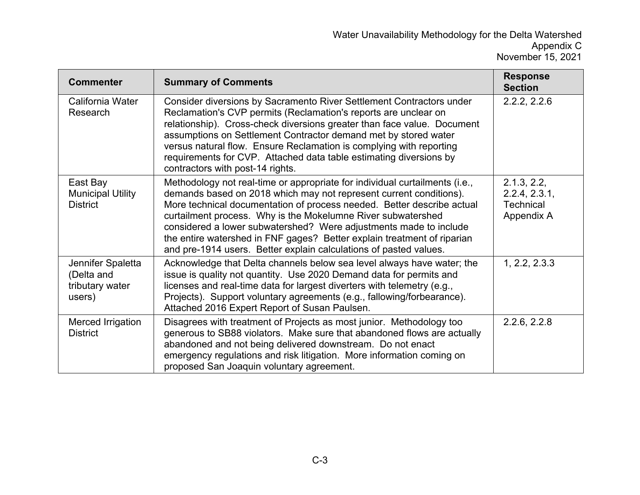| <b>Commenter</b>                                             | <b>Summary of Comments</b>                                                                                                                                                                                                                                                                                                                                                                                                                                                                                       | <b>Response</b><br><b>Section</b>                              |
|--------------------------------------------------------------|------------------------------------------------------------------------------------------------------------------------------------------------------------------------------------------------------------------------------------------------------------------------------------------------------------------------------------------------------------------------------------------------------------------------------------------------------------------------------------------------------------------|----------------------------------------------------------------|
| California Water<br>Research                                 | Consider diversions by Sacramento River Settlement Contractors under<br>Reclamation's CVP permits (Reclamation's reports are unclear on<br>relationship). Cross-check diversions greater than face value. Document<br>assumptions on Settlement Contractor demand met by stored water<br>versus natural flow. Ensure Reclamation is complying with reporting<br>requirements for CVP. Attached data table estimating diversions by<br>contractors with post-14 rights.                                           | 2.2.2, 2.2.6                                                   |
| East Bay<br><b>Municipal Utility</b><br><b>District</b>      | Methodology not real-time or appropriate for individual curtailments (i.e.,<br>demands based on 2018 which may not represent current conditions).<br>More technical documentation of process needed. Better describe actual<br>curtailment process. Why is the Mokelumne River subwatershed<br>considered a lower subwatershed? Were adjustments made to include<br>the entire watershed in FNF gages? Better explain treatment of riparian<br>and pre-1914 users. Better explain calculations of pasted values. | 2.1.3, 2.2,<br>2.2.4, 2.3.1,<br><b>Technical</b><br>Appendix A |
| Jennifer Spaletta<br>(Delta and<br>tributary water<br>users) | Acknowledge that Delta channels below sea level always have water; the<br>issue is quality not quantity. Use 2020 Demand data for permits and<br>licenses and real-time data for largest diverters with telemetry (e.g.,<br>Projects). Support voluntary agreements (e.g., fallowing/forbearance).<br>Attached 2016 Expert Report of Susan Paulsen.                                                                                                                                                              | 1, 2.2, 2.3.3                                                  |
| Merced Irrigation<br><b>District</b>                         | Disagrees with treatment of Projects as most junior. Methodology too<br>generous to SB88 violators. Make sure that abandoned flows are actually<br>abandoned and not being delivered downstream. Do not enact<br>emergency regulations and risk litigation. More information coming on<br>proposed San Joaquin voluntary agreement.                                                                                                                                                                              | 2.2.6, 2.2.8                                                   |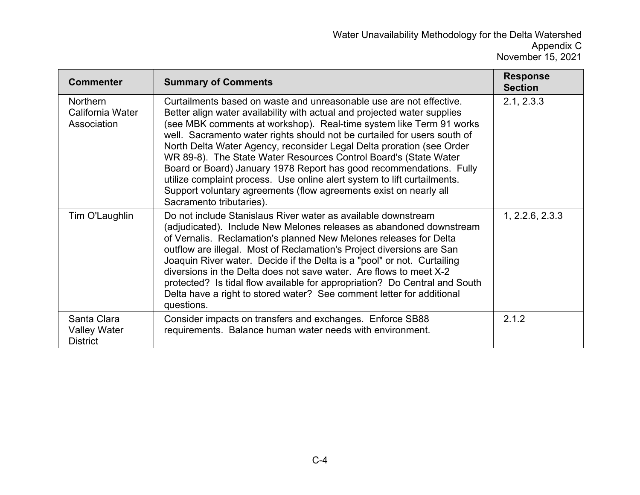| <b>Commenter</b>                                      | <b>Summary of Comments</b>                                                                                                                                                                                                                                                                                                                                                                                                                                                                                                                                                                                                                                                                          | <b>Response</b><br><b>Section</b> |
|-------------------------------------------------------|-----------------------------------------------------------------------------------------------------------------------------------------------------------------------------------------------------------------------------------------------------------------------------------------------------------------------------------------------------------------------------------------------------------------------------------------------------------------------------------------------------------------------------------------------------------------------------------------------------------------------------------------------------------------------------------------------------|-----------------------------------|
| <b>Northern</b><br>California Water<br>Association    | Curtailments based on waste and unreasonable use are not effective.<br>Better align water availability with actual and projected water supplies<br>(see MBK comments at workshop). Real-time system like Term 91 works<br>well. Sacramento water rights should not be curtailed for users south of<br>North Delta Water Agency, reconsider Legal Delta proration (see Order<br>WR 89-8). The State Water Resources Control Board's (State Water<br>Board or Board) January 1978 Report has good recommendations. Fully<br>utilize complaint process. Use online alert system to lift curtailments.<br>Support voluntary agreements (flow agreements exist on nearly all<br>Sacramento tributaries). | 2.1, 2.3.3                        |
| Tim O'Laughlin                                        | Do not include Stanislaus River water as available downstream<br>(adjudicated). Include New Melones releases as abandoned downstream<br>of Vernalis. Reclamation's planned New Melones releases for Delta<br>outflow are illegal. Most of Reclamation's Project diversions are San<br>Joaquin River water. Decide if the Delta is a "pool" or not. Curtailing<br>diversions in the Delta does not save water. Are flows to meet X-2<br>protected? Is tidal flow available for appropriation? Do Central and South<br>Delta have a right to stored water? See comment letter for additional<br>questions.                                                                                            | 1, 2.2.6, 2.3.3                   |
| Santa Clara<br><b>Valley Water</b><br><b>District</b> | Consider impacts on transfers and exchanges. Enforce SB88<br>requirements. Balance human water needs with environment.                                                                                                                                                                                                                                                                                                                                                                                                                                                                                                                                                                              | 2.1.2                             |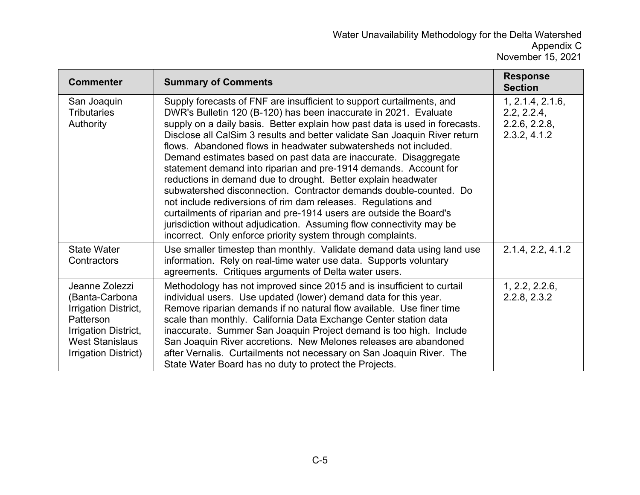| <b>Commenter</b>                                                                                                                                | <b>Summary of Comments</b>                                                                                                                                                                                                                                                                                                                                                                                                                                                                                                                                                                                                                                                                                                                                                                                                                                                                                                             | <b>Response</b><br><b>Section</b>                                |
|-------------------------------------------------------------------------------------------------------------------------------------------------|----------------------------------------------------------------------------------------------------------------------------------------------------------------------------------------------------------------------------------------------------------------------------------------------------------------------------------------------------------------------------------------------------------------------------------------------------------------------------------------------------------------------------------------------------------------------------------------------------------------------------------------------------------------------------------------------------------------------------------------------------------------------------------------------------------------------------------------------------------------------------------------------------------------------------------------|------------------------------------------------------------------|
| San Joaquin<br><b>Tributaries</b><br>Authority                                                                                                  | Supply forecasts of FNF are insufficient to support curtailments, and<br>DWR's Bulletin 120 (B-120) has been inaccurate in 2021. Evaluate<br>supply on a daily basis. Better explain how past data is used in forecasts.<br>Disclose all CalSim 3 results and better validate San Joaquin River return<br>flows. Abandoned flows in headwater subwatersheds not included.<br>Demand estimates based on past data are inaccurate. Disaggregate<br>statement demand into riparian and pre-1914 demands. Account for<br>reductions in demand due to drought. Better explain headwater<br>subwatershed disconnection. Contractor demands double-counted. Do<br>not include rediversions of rim dam releases. Regulations and<br>curtailments of riparian and pre-1914 users are outside the Board's<br>jurisdiction without adjudication. Assuming flow connectivity may be<br>incorrect. Only enforce priority system through complaints. | 1, 2.1.4, 2.1.6,<br>2.2, 2.2.4,<br>2.2.6, 2.2.8,<br>2.3.2, 4.1.2 |
| <b>State Water</b><br>Contractors                                                                                                               | Use smaller timestep than monthly. Validate demand data using land use<br>information. Rely on real-time water use data. Supports voluntary<br>agreements. Critiques arguments of Delta water users.                                                                                                                                                                                                                                                                                                                                                                                                                                                                                                                                                                                                                                                                                                                                   | 2.1.4, 2.2, 4.1.2                                                |
| Jeanne Zolezzi<br>(Banta-Carbona<br>Irrigation District,<br>Patterson<br>Irrigation District,<br><b>West Stanislaus</b><br>Irrigation District) | Methodology has not improved since 2015 and is insufficient to curtail<br>individual users. Use updated (lower) demand data for this year.<br>Remove riparian demands if no natural flow available. Use finer time<br>scale than monthly. California Data Exchange Center station data<br>inaccurate. Summer San Joaquin Project demand is too high. Include<br>San Joaquin River accretions. New Melones releases are abandoned<br>after Vernalis. Curtailments not necessary on San Joaquin River. The<br>State Water Board has no duty to protect the Projects.                                                                                                                                                                                                                                                                                                                                                                     | 1, 2.2, 2.2.6,<br>2.2.8, 2.3.2                                   |